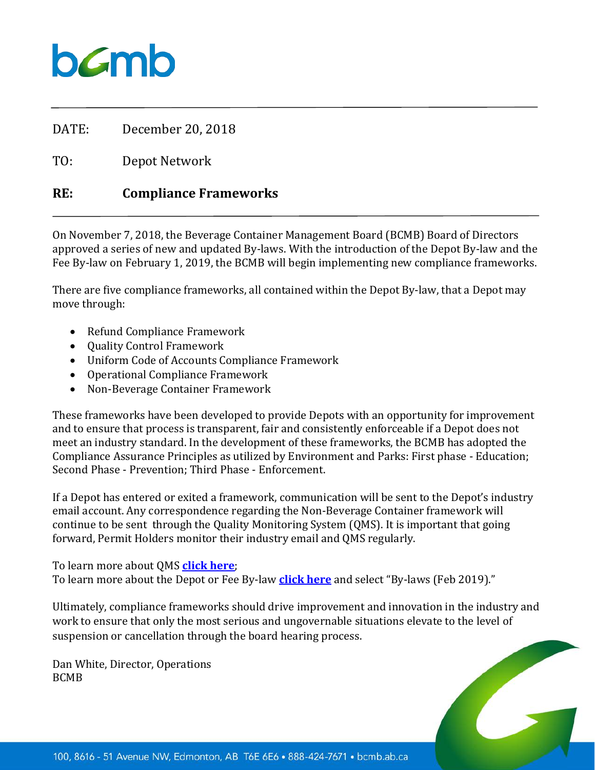DATE: December 20, 2018

TO: Depot Network

## **RE: Compliance Frameworks**

On November 7, 2018, the Beverage Container Management Board (BCMB) Board of Directors approved a series of new and updated By-laws. With the introduction of the Depot By-law and the Fee By-law on February 1, 2019, the BCMB will begin implementing new compliance frameworks.

There are five compliance frameworks, all contained within the Depot By-law, that a Depot may move through:

- Refund Compliance Framework
- Quality Control Framework
- Uniform Code of Accounts Compliance Framework
- Operational Compliance Framework
- Non-Beverage Container Framework

These frameworks have been developed to provide Depots with an opportunity for improvement and to ensure that process is transparent, fair and consistently enforceable if a Depot does not meet an industry standard. In the development of these frameworks, the BCMB has adopted the Compliance Assurance Principles as utilized by Environment and Parks: First phase - Education; Second Phase - Prevention; Third Phase - Enforcement.

If a Depot has entered or exited a framework, communication will be sent to the Depot's industry email account. Any correspondence regarding the Non-Beverage Container framework will continue to be sent through the Quality Monitoring System (QMS). It is important that going forward, Permit Holders monitor their industry email and QMS regularly.

To learn more about QMS **[click here](https://www.bcmb.ab.ca/depot-owners-operators/depot-logins-resources/)**;

To learn more about the Depot or Fee By-law **[click here](https://www.bcmb.ab.ca/about/governing-documents/)** and select "By-laws (Feb 2019)."

Ultimately, compliance frameworks should drive improvement and innovation in the industry and work to ensure that only the most serious and ungovernable situations elevate to the level of suspension or cancellation through the board hearing process.

Dan White, Director, Operations BCMB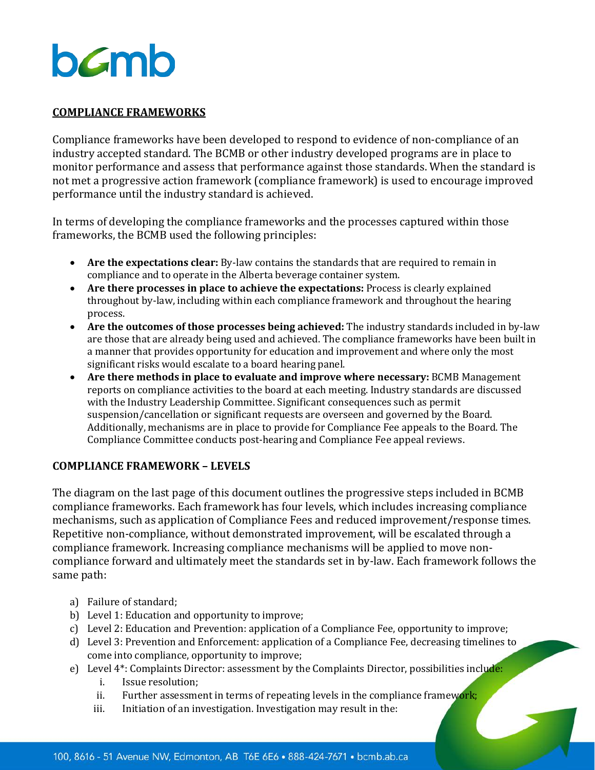## **COMPLIANCE FRAMEWORKS**

Compliance frameworks have been developed to respond to evidence of non-compliance of an industry accepted standard. The BCMB or other industry developed programs are in place to monitor performance and assess that performance against those standards. When the standard is not met a progressive action framework (compliance framework) is used to encourage improved performance until the industry standard is achieved.

In terms of developing the compliance frameworks and the processes captured within those frameworks, the BCMB used the following principles:

- **Are the expectations clear:** By-law contains the standards that are required to remain in compliance and to operate in the Alberta beverage container system.
- **Are there processes in place to achieve the expectations:** Process is clearly explained throughout by-law, including within each compliance framework and throughout the hearing process.
- **Are the outcomes of those processes being achieved:** The industry standards included in by-law are those that are already being used and achieved. The compliance frameworks have been built in a manner that provides opportunity for education and improvement and where only the most significant risks would escalate to a board hearing panel.
- **Are there methods in place to evaluate and improve where necessary:** BCMB Management reports on compliance activities to the board at each meeting. Industry standards are discussed with the Industry Leadership Committee. Significant consequences such as permit suspension/cancellation or significant requests are overseen and governed by the Board. Additionally, mechanisms are in place to provide for Compliance Fee appeals to the Board. The Compliance Committee conducts post-hearing and Compliance Fee appeal reviews.

## **COMPLIANCE FRAMEWORK – LEVELS**

The diagram on the last page of this document outlines the progressive steps included in BCMB compliance frameworks. Each framework has four levels, which includes increasing compliance mechanisms, such as application of Compliance Fees and reduced improvement/response times. Repetitive non-compliance, without demonstrated improvement, will be escalated through a compliance framework. Increasing compliance mechanisms will be applied to move noncompliance forward and ultimately meet the standards set in by-law. Each framework follows the same path:

- a) Failure of standard;
- b) Level 1: Education and opportunity to improve;
- c) Level 2: Education and Prevention: application of a Compliance Fee, opportunity to improve;
- d) Level 3: Prevention and Enforcement: application of a Compliance Fee, decreasing timelines to come into compliance, opportunity to improve;
- e) Level 4\*: Complaints Director: assessment by the Complaints Director, possibilities include:
	- i. Issue resolution;<br>ii. Further assessme
	- ii. Further assessment in terms of repeating levels in the compliance framework;<br>iii. Initiation of an investigation. Investigation may result in the:
	- Initiation of an investigation. Investigation may result in the: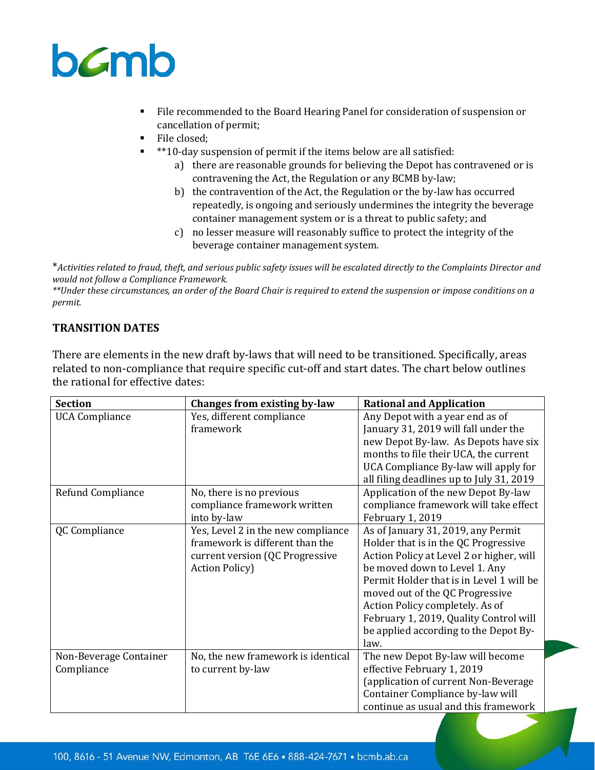

- File recommended to the Board Hearing Panel for consideration of suspension or cancellation of permit;
- **File closed;**
- \*\*10-day suspension of permit if the items below are all satisfied:
	- a) there are reasonable grounds for believing the Depot has contravened or is contravening the Act, the Regulation or any BCMB by-law;
	- b) the contravention of the Act, the Regulation or the by-law has occurred repeatedly, is ongoing and seriously undermines the integrity the beverage container management system or is a threat to public safety; and
	- c) no lesser measure will reasonably suffice to protect the integrity of the beverage container management system.

\**Activities related to fraud, theft, and serious public safety issues will be escalated directly to the Complaints Director and would not follow a Compliance Framework.* 

*\*\*Under these circumstances, an order of the Board Chair is required to extend the suspension or impose conditions on a permit.* 

## **TRANSITION DATES**

There are elements in the new draft by-laws that will need to be transitioned. Specifically, areas related to non-compliance that require specific cut-off and start dates. The chart below outlines the rational for effective dates:

| <b>Section</b>         | Changes from existing by-law       | <b>Rational and Application</b>          |
|------------------------|------------------------------------|------------------------------------------|
| <b>UCA Compliance</b>  | Yes, different compliance          | Any Depot with a year end as of          |
|                        | framework                          | January 31, 2019 will fall under the     |
|                        |                                    | new Depot By-law. As Depots have six     |
|                        |                                    | months to file their UCA, the current    |
|                        |                                    | UCA Compliance By-law will apply for     |
|                        |                                    | all filing deadlines up to July 31, 2019 |
| Refund Compliance      | No, there is no previous           | Application of the new Depot By-law      |
|                        | compliance framework written       | compliance framework will take effect    |
|                        | into by-law                        | February 1, 2019                         |
| QC Compliance          | Yes, Level 2 in the new compliance | As of January 31, 2019, any Permit       |
|                        | framework is different than the    | Holder that is in the QC Progressive     |
|                        | current version (QC Progressive    | Action Policy at Level 2 or higher, will |
|                        | <b>Action Policy</b> )             | be moved down to Level 1. Any            |
|                        |                                    | Permit Holder that is in Level 1 will be |
|                        |                                    | moved out of the QC Progressive          |
|                        |                                    | Action Policy completely. As of          |
|                        |                                    | February 1, 2019, Quality Control will   |
|                        |                                    | be applied according to the Depot By-    |
|                        |                                    | law.                                     |
| Non-Beverage Container | No, the new framework is identical | The new Depot By-law will become         |
| Compliance             | to current by-law                  | effective February 1, 2019               |
|                        |                                    | (application of current Non-Beverage     |
|                        |                                    | Container Compliance by-law will         |
|                        |                                    | continue as usual and this framework     |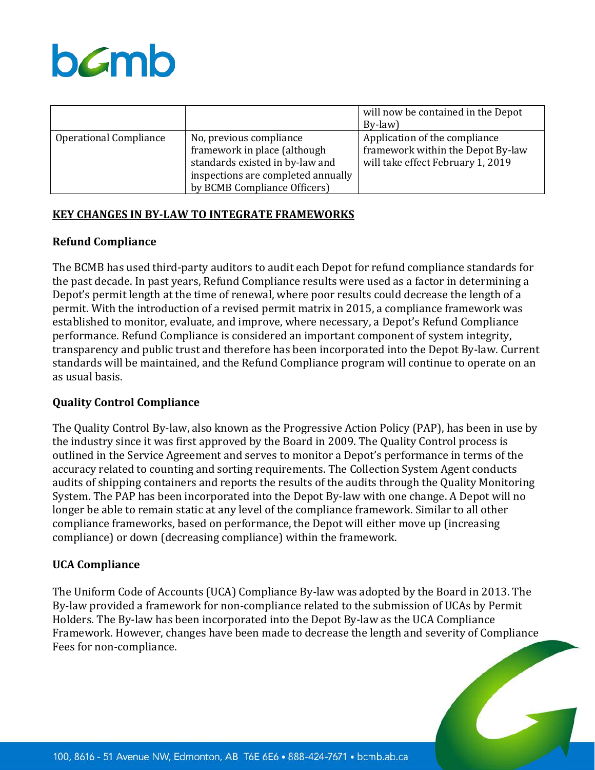

|                               |                                                                                                                                                                  | will now be contained in the Depot<br>By-law)                                                           |
|-------------------------------|------------------------------------------------------------------------------------------------------------------------------------------------------------------|---------------------------------------------------------------------------------------------------------|
| <b>Operational Compliance</b> | No, previous compliance<br>framework in place (although<br>standards existed in by-law and<br>inspections are completed annually<br>by BCMB Compliance Officers) | Application of the compliance<br>framework within the Depot By-law<br>will take effect February 1, 2019 |

#### **KEY CHANGES IN BY-LAW TO INTEGRATE FRAMEWORKS**

#### **Refund Compliance**

The BCMB has used third-party auditors to audit each Depot for refund compliance standards for the past decade. In past years, Refund Compliance results were used as a factor in determining a Depot's permit length at the time of renewal, where poor results could decrease the length of a permit. With the introduction of a revised permit matrix in 2015, a compliance framework was established to monitor, evaluate, and improve, where necessary, a Depot's Refund Compliance performance. Refund Compliance is considered an important component of system integrity, transparency and public trust and therefore has been incorporated into the Depot By-law. Current standards will be maintained, and the Refund Compliance program will continue to operate on an as usual basis.

#### **Quality Control Compliance**

The Quality Control By-law, also known as the Progressive Action Policy (PAP), has been in use by the industry since it was first approved by the Board in 2009. The Quality Control process is outlined in the Service Agreement and serves to monitor a Depot's performance in terms of the accuracy related to counting and sorting requirements. The Collection System Agent conducts audits of shipping containers and reports the results of the audits through the Quality Monitoring System. The PAP has been incorporated into the Depot By-law with one change. A Depot will no longer be able to remain static at any level of the compliance framework. Similar to all other compliance frameworks, based on performance, the Depot will either move up (increasing compliance) or down (decreasing compliance) within the framework.

#### **UCA Compliance**

The Uniform Code of Accounts (UCA) Compliance By-law was adopted by the Board in 2013. The By-law provided a framework for non-compliance related to the submission of UCAs by Permit Holders. The By-law has been incorporated into the Depot By-law as the UCA Compliance Framework. However, changes have been made to decrease the length and severity of Compliance Fees for non-compliance.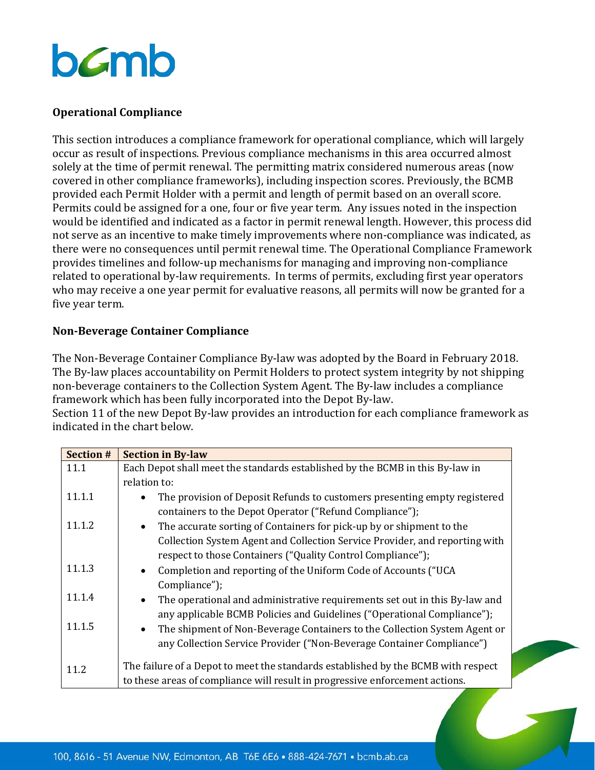## **Operational Compliance**

This section introduces a compliance framework for operational compliance, which will largely occur as result of inspections. Previous compliance mechanisms in this area occurred almost solely at the time of permit renewal. The permitting matrix considered numerous areas (now covered in other compliance frameworks), including inspection scores. Previously, the BCMB provided each Permit Holder with a permit and length of permit based on an overall score. Permits could be assigned for a one, four or five year term. Any issues noted in the inspection would be identified and indicated as a factor in permit renewal length. However, this process did not serve as an incentive to make timely improvements where non-compliance was indicated, as there were no consequences until permit renewal time. The Operational Compliance Framework provides timelines and follow-up mechanisms for managing and improving non-compliance related to operational by-law requirements. In terms of permits, excluding first year operators who may receive a one year permit for evaluative reasons, all permits will now be granted for a five year term.

## **Non-Beverage Container Compliance**

The Non-Beverage Container Compliance By-law was adopted by the Board in February 2018. The By-law places accountability on Permit Holders to protect system integrity by not shipping non-beverage containers to the Collection System Agent. The By-law includes a compliance framework which has been fully incorporated into the Depot By-law.

Section 11 of the new Depot By-law provides an introduction for each compliance framework as indicated in the chart below.

| <b>Section #</b> | <b>Section in By-law</b>                                                                |
|------------------|-----------------------------------------------------------------------------------------|
| 11.1             | Each Depot shall meet the standards established by the BCMB in this By-law in           |
|                  | relation to:                                                                            |
| 11.1.1           | The provision of Deposit Refunds to customers presenting empty registered<br>$\bullet$  |
|                  | containers to the Depot Operator ("Refund Compliance");                                 |
| 11.1.2           | The accurate sorting of Containers for pick-up by or shipment to the<br>$\bullet$       |
|                  | Collection System Agent and Collection Service Provider, and reporting with             |
|                  | respect to those Containers ("Quality Control Compliance");                             |
| 11.1.3           | Completion and reporting of the Uniform Code of Accounts ("UCA<br>$\bullet$             |
|                  | Compliance");                                                                           |
| 11.1.4           | The operational and administrative requirements set out in this By-law and<br>$\bullet$ |
|                  | any applicable BCMB Policies and Guidelines ("Operational Compliance");                 |
| 11.1.5           | The shipment of Non-Beverage Containers to the Collection System Agent or<br>$\bullet$  |
|                  | any Collection Service Provider ("Non-Beverage Container Compliance")                   |
|                  |                                                                                         |
| 11.2             | The failure of a Depot to meet the standards established by the BCMB with respect       |
|                  | to these areas of compliance will result in progressive enforcement actions.            |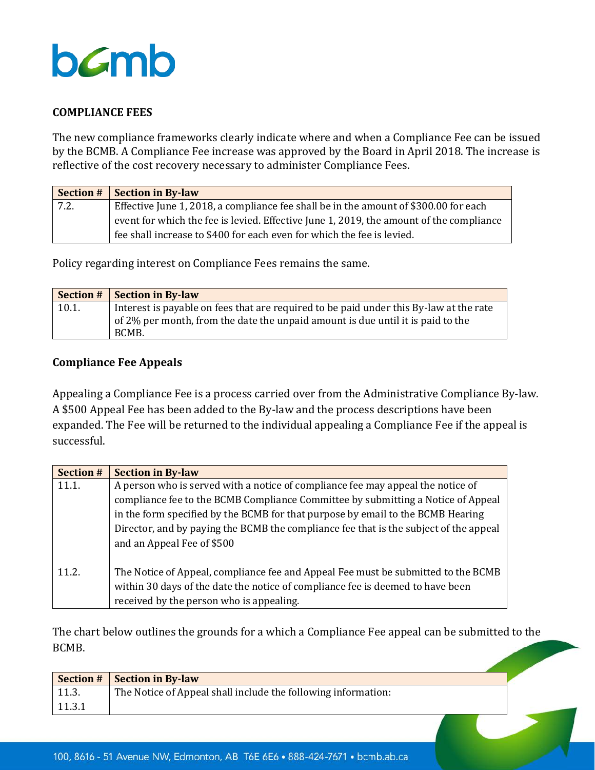

## **COMPLIANCE FEES**

The new compliance frameworks clearly indicate where and when a Compliance Fee can be issued by the BCMB. A Compliance Fee increase was approved by the Board in April 2018. The increase is reflective of the cost recovery necessary to administer Compliance Fees.

|      | <b>Section #   Section in By-law</b>                                                    |
|------|-----------------------------------------------------------------------------------------|
| 7.2. | Effective June 1, 2018, a compliance fee shall be in the amount of \$300.00 for each    |
|      | event for which the fee is levied. Effective June 1, 2019, the amount of the compliance |
|      | fee shall increase to \$400 for each even for which the fee is levied.                  |

Policy regarding interest on Compliance Fees remains the same.

|       | <b>Section #   Section in By-law</b>                                                   |
|-------|----------------------------------------------------------------------------------------|
| 10.1. | Interest is payable on fees that are required to be paid under this By-law at the rate |
|       | of 2% per month, from the date the unpaid amount is due until it is paid to the        |
|       | BCMB.                                                                                  |

#### **Compliance Fee Appeals**

Appealing a Compliance Fee is a process carried over from the Administrative Compliance By-law. A \$500 Appeal Fee has been added to the By-law and the process descriptions have been expanded. The Fee will be returned to the individual appealing a Compliance Fee if the appeal is successful.

| <b>Section #</b> | <b>Section in By-law</b>                                                                                                                                                                                        |  |
|------------------|-----------------------------------------------------------------------------------------------------------------------------------------------------------------------------------------------------------------|--|
| 11.1.            | A person who is served with a notice of compliance fee may appeal the notice of                                                                                                                                 |  |
|                  | compliance fee to the BCMB Compliance Committee by submitting a Notice of Appeal                                                                                                                                |  |
|                  | in the form specified by the BCMB for that purpose by email to the BCMB Hearing                                                                                                                                 |  |
|                  | Director, and by paying the BCMB the compliance fee that is the subject of the appeal                                                                                                                           |  |
|                  | and an Appeal Fee of \$500                                                                                                                                                                                      |  |
| 11.2.            | The Notice of Appeal, compliance fee and Appeal Fee must be submitted to the BCMB<br>within 30 days of the date the notice of compliance fee is deemed to have been<br>received by the person who is appealing. |  |

The chart below outlines the grounds for a which a Compliance Fee appeal can be submitted to the BCMB.

|        | <b>Section #   Section in By-law</b>                          |  |
|--------|---------------------------------------------------------------|--|
| 11.3.  | The Notice of Appeal shall include the following information: |  |
| 11.3.1 |                                                               |  |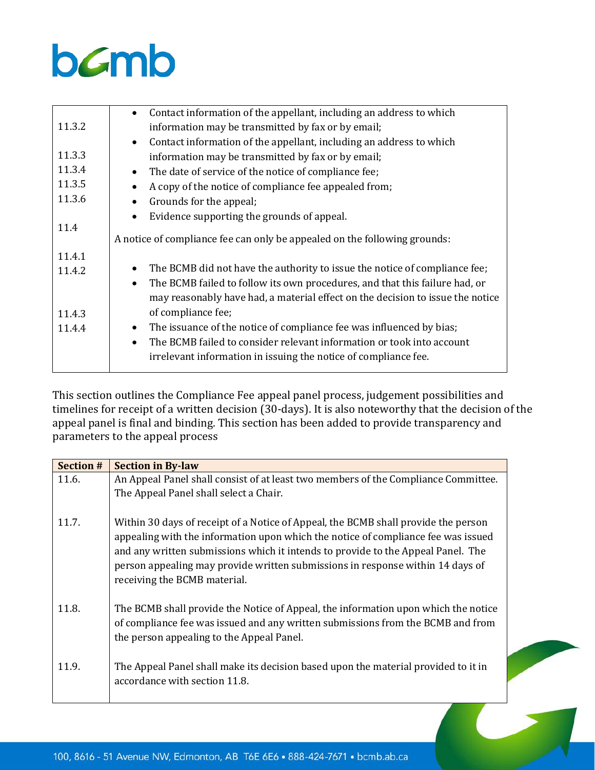

|        | Contact information of the appellant, including an address to which<br>$\bullet$         |
|--------|------------------------------------------------------------------------------------------|
| 11.3.2 | information may be transmitted by fax or by email;                                       |
|        | Contact information of the appellant, including an address to which<br>$\bullet$         |
| 11.3.3 | information may be transmitted by fax or by email;                                       |
| 11.3.4 | The date of service of the notice of compliance fee;<br>$\bullet$                        |
| 11.3.5 | A copy of the notice of compliance fee appealed from;<br>$\bullet$                       |
| 11.3.6 | Grounds for the appeal;<br>$\bullet$                                                     |
|        | Evidence supporting the grounds of appeal.<br>$\bullet$                                  |
| 11.4   |                                                                                          |
|        | A notice of compliance fee can only be appealed on the following grounds:                |
| 11.4.1 |                                                                                          |
| 11.4.2 | The BCMB did not have the authority to issue the notice of compliance fee;<br>$\bullet$  |
|        | The BCMB failed to follow its own procedures, and that this failure had, or<br>$\bullet$ |
|        | may reasonably have had, a material effect on the decision to issue the notice           |
| 11.4.3 | of compliance fee;                                                                       |
| 11.4.4 | The issuance of the notice of compliance fee was influenced by bias;<br>$\bullet$        |
|        | The BCMB failed to consider relevant information or took into account<br>$\bullet$       |
|        | irrelevant information in issuing the notice of compliance fee.                          |
|        |                                                                                          |

This section outlines the Compliance Fee appeal panel process, judgement possibilities and timelines for receipt of a written decision (30-days). It is also noteworthy that the decision of the appeal panel is final and binding. This section has been added to provide transparency and parameters to the appeal process

| <b>Section #</b> | <b>Section in By-law</b>                                                           |
|------------------|------------------------------------------------------------------------------------|
| 11.6.            | An Appeal Panel shall consist of at least two members of the Compliance Committee. |
|                  | The Appeal Panel shall select a Chair.                                             |
|                  |                                                                                    |
| 11.7.            | Within 30 days of receipt of a Notice of Appeal, the BCMB shall provide the person |
|                  | appealing with the information upon which the notice of compliance fee was issued  |
|                  | and any written submissions which it intends to provide to the Appeal Panel. The   |
|                  | person appealing may provide written submissions in response within 14 days of     |
|                  | receiving the BCMB material.                                                       |
| 11.8.            | The BCMB shall provide the Notice of Appeal, the information upon which the notice |
|                  | of compliance fee was issued and any written submissions from the BCMB and from    |
|                  | the person appealing to the Appeal Panel.                                          |
|                  |                                                                                    |
| 11.9.            | The Appeal Panel shall make its decision based upon the material provided to it in |
|                  | accordance with section 11.8.                                                      |
|                  |                                                                                    |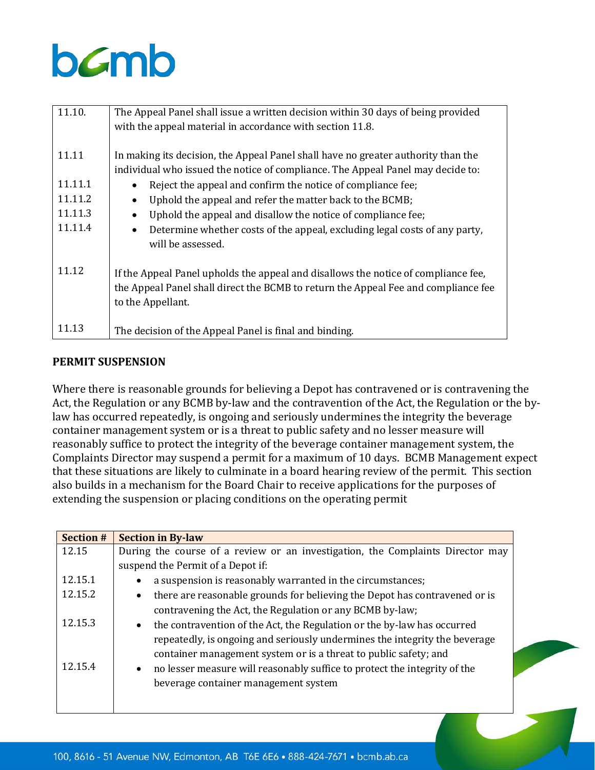| 11.10.  | The Appeal Panel shall issue a written decision within 30 days of being provided        |
|---------|-----------------------------------------------------------------------------------------|
|         | with the appeal material in accordance with section 11.8.                               |
|         |                                                                                         |
| 11.11   | In making its decision, the Appeal Panel shall have no greater authority than the       |
|         | individual who issued the notice of compliance. The Appeal Panel may decide to:         |
| 11.11.1 | Reject the appeal and confirm the notice of compliance fee;                             |
| 11.11.2 | Uphold the appeal and refer the matter back to the BCMB;<br>$\bullet$                   |
| 11.11.3 | Uphold the appeal and disallow the notice of compliance fee;                            |
| 11.11.4 | Determine whether costs of the appeal, excluding legal costs of any party,<br>$\bullet$ |
|         | will be assessed.                                                                       |
|         |                                                                                         |
| 11.12   | If the Appeal Panel upholds the appeal and disallows the notice of compliance fee,      |
|         | the Appeal Panel shall direct the BCMB to return the Appeal Fee and compliance fee      |
|         | to the Appellant.                                                                       |
|         |                                                                                         |
| 11.13   | The decision of the Appeal Panel is final and binding.                                  |

## **PERMIT SUSPENSION**

Where there is reasonable grounds for believing a Depot has contravened or is contravening the Act, the Regulation or any BCMB by-law and the contravention of the Act, the Regulation or the bylaw has occurred repeatedly, is ongoing and seriously undermines the integrity the beverage container management system or is a threat to public safety and no lesser measure will reasonably suffice to protect the integrity of the beverage container management system, the Complaints Director may suspend a permit for a maximum of 10 days. BCMB Management expect that these situations are likely to culminate in a board hearing review of the permit. This section also builds in a mechanism for the Board Chair to receive applications for the purposes of extending the suspension or placing conditions on the operating permit

| <b>Section #</b> | <b>Section in By-law</b>                                                                |
|------------------|-----------------------------------------------------------------------------------------|
| 12.15            | During the course of a review or an investigation, the Complaints Director may          |
|                  | suspend the Permit of a Depot if:                                                       |
| 12.15.1          | a suspension is reasonably warranted in the circumstances;                              |
| 12.15.2          | there are reasonable grounds for believing the Depot has contravened or is<br>$\bullet$ |
|                  | contravening the Act, the Regulation or any BCMB by-law;                                |
| 12.15.3          | the contravention of the Act, the Regulation or the by-law has occurred<br>$\bullet$    |
|                  | repeatedly, is ongoing and seriously undermines the integrity the beverage              |
|                  | container management system or is a threat to public safety; and                        |
| 12.15.4          | • no lesser measure will reasonably suffice to protect the integrity of the             |
|                  | beverage container management system                                                    |
|                  |                                                                                         |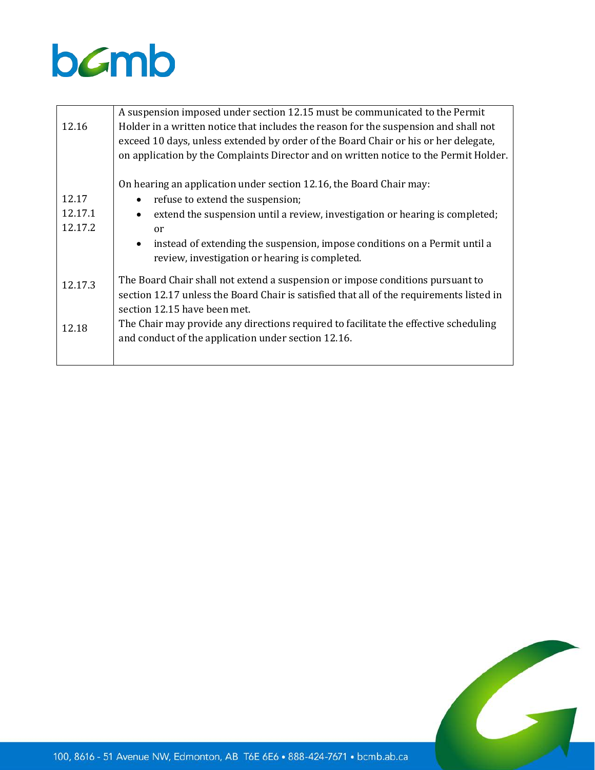

|         | A suspension imposed under section 12.15 must be communicated to the Permit                                                               |
|---------|-------------------------------------------------------------------------------------------------------------------------------------------|
| 12.16   | Holder in a written notice that includes the reason for the suspension and shall not                                                      |
|         | exceed 10 days, unless extended by order of the Board Chair or his or her delegate,                                                       |
|         | on application by the Complaints Director and on written notice to the Permit Holder.                                                     |
|         | On hearing an application under section 12.16, the Board Chair may:                                                                       |
| 12.17   | refuse to extend the suspension;<br>$\bullet$                                                                                             |
| 12.17.1 | extend the suspension until a review, investigation or hearing is completed;<br>$\bullet$                                                 |
| 12.17.2 | or                                                                                                                                        |
|         | instead of extending the suspension, impose conditions on a Permit until a<br>$\bullet$<br>review, investigation or hearing is completed. |
| 12.17.3 | The Board Chair shall not extend a suspension or impose conditions pursuant to                                                            |
|         | section 12.17 unless the Board Chair is satisfied that all of the requirements listed in                                                  |
|         | section 12.15 have been met.                                                                                                              |
| 12.18   | The Chair may provide any directions required to facilitate the effective scheduling                                                      |
|         | and conduct of the application under section 12.16.                                                                                       |
|         |                                                                                                                                           |
|         |                                                                                                                                           |